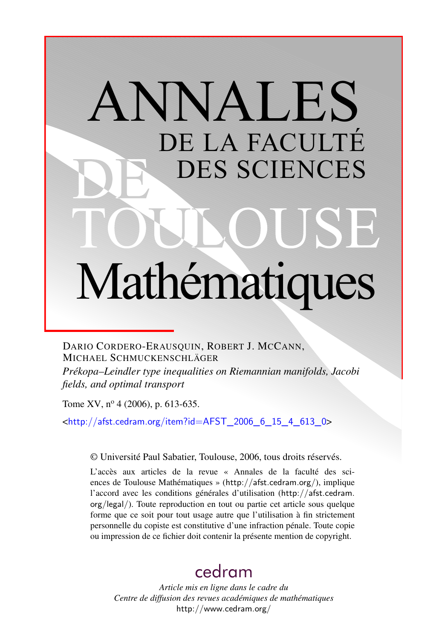# ANNALES DE LA FACULTÉ DES SCIENCES Mathématiques

DARIO CORDERO-ERAUSQUIN, ROBERT J. MCCANN, MICHAEL SCHMUCKENSCHLÄGER

*Prékopa–Leindler type inequalities on Riemannian manifolds, Jacobi fields, and optimal transport*

Tome XV,  $n^{\circ}$  4 (2006), p. 613-635.

<[http://afst.cedram.org/item?id=AFST\\_2006\\_6\\_15\\_4\\_613\\_0](http://afst.cedram.org/item?id=AFST_2006_6_15_4_613_0)>

© Université Paul Sabatier, Toulouse, 2006, tous droits réservés.

L'accès aux articles de la revue « Annales de la faculté des sciences de Toulouse Mathématiques » (<http://afst.cedram.org/>), implique l'accord avec les conditions générales d'utilisation ([http://afst.cedram.](http://afst.cedram.org/legal/) [org/legal/](http://afst.cedram.org/legal/)). Toute reproduction en tout ou partie cet article sous quelque forme que ce soit pour tout usage autre que l'utilisation à fin strictement personnelle du copiste est constitutive d'une infraction pénale. Toute copie ou impression de ce fichier doit contenir la présente mention de copyright.

# [cedram](http://www.cedram.org/)

*Article mis en ligne dans le cadre du Centre de diffusion des revues académiques de mathématiques* <http://www.cedram.org/>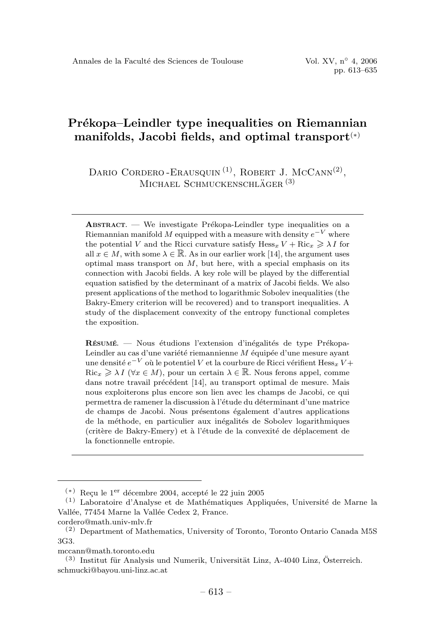# **Pr´ekopa–Leindler type inequalities on Riemannian manifolds, Jacobi fields, and optimal transport**(∗)

DARIO CORDERO-ERAUSQUIN<sup>(1)</sup>, ROBERT J. MCCANN<sup>(2)</sup>, MICHAEL SCHMUCKENSCHLÄGER<sup>(3)</sup>

**RESUMÉ**  $\blacksquare$  Nous étudions l'extension d'inégalités de type Prékopa-Leindler au cas d'une variété riemannienne  $M$  équipée d'une mesure ayant une densité  $e^{-V}$  où le potentiel V et la courbure de Ricci vérifient Hess<sub>*x*</sub> V +  $Ric_x \geq \lambda I$  ( $\forall x \in M$ ), pour un certain  $\lambda \in \mathbb{R}$ . Nous ferons appel, comme dans notre travail précédent [14], au transport optimal de mesure. Mais nous exploiterons plus encore son lien avec les champs de Jacobi, ce qui permettra de ramener la discussion à l'étude du déterminant d'une matrice de champs de Jacobi. Nous présentons également d'autres applications de la méthode, en particulier aux inégalités de Sobolev logarithmiques (critère de Bakry-Emery) et à l'étude de la convexité de déplacement de la fonctionnelle entropie.

mccann@math.toronto.edu

 $\bf$ **ABSTRACT.** — We investigate Prékopa-Leindler type inequalities on a Riemannian manifold M equipped with a measure with density  $e^{-V}$  where the potential V and the Ricci curvature satisfy  $\text{Hess}_x V + \text{Ric}_x \geq \lambda I$  for all  $x \in M$ , with some  $\lambda \in \mathbb{R}$ . As in our earlier work [14], the argument uses optimal mass transport on  $M$ , but here, with a special emphasis on its connection with Jacobi fields. A key role will be played by the differential equation satisfied by the determinant of a matrix of Jacobi fields. We also present applications of the method to logarithmic Sobolev inequalities (the Bakry-Emery criterion will be recovered) and to transport inequalities. A study of the displacement convexity of the entropy functional completes the exposition.

 $(*)$  Recu le 1<sup>er</sup> décembre 2004, accepté le 22 juin 2005

 $(1)$  Laboratoire d'Analyse et de Mathématiques Appliquées, Université de Marne la Vallée, 77454 Marne la Vallée Cedex 2, France.

cordero@math.univ-mlv.fr

 $(2)$  Department of Mathematics, University of Toronto, Toronto Ontario Canada M5S 3G3.

 $(3)$  Institut für Analysis und Numerik, Universität Linz, A-4040 Linz, Österreich. schmucki@bayou.uni-linz.ac.at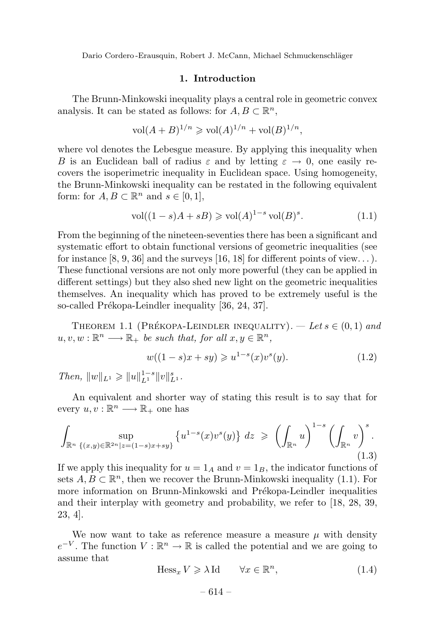# **1. Introduction**

The Brunn-Minkowski inequality plays a central role in geometric convex analysis. It can be stated as follows: for  $A, B \subset \mathbb{R}^n$ ,

$$
vol(A + B)^{1/n} \geq vol(A)^{1/n} + vol(B)^{1/n},
$$

where vol denotes the Lebesgue measure. By applying this inequality when *B* is an Euclidean ball of radius  $\varepsilon$  and by letting  $\varepsilon \to 0$ , one easily recovers the isoperimetric inequality in Euclidean space. Using homogeneity, the Brunn-Minkowski inequality can be restated in the following equivalent form: for  $A, B \subset \mathbb{R}^n$  and  $s \in [0, 1]$ ,

$$
\text{vol}((1-s)A + sB) \geqslant \text{vol}(A)^{1-s} \text{vol}(B)^s. \tag{1.1}
$$

From the beginning of the nineteen-seventies there has been a significant and systematic effort to obtain functional versions of geometric inequalities (see for instance  $[8, 9, 36]$  and the surveys  $[16, 18]$  for different points of view...). These functional versions are not only more powerful (they can be applied in different settings) but they also shed new light on the geometric inequalities themselves. An inequality which has proved to be extremely useful is the so-called Prékopa-Leindler inequality [36, 24, 37].

THEOREM 1.1 (PRÉKOPA-LEINDLER INEQUALITY).  $-$  Let  $s \in (0,1)$  and  $u, v, w : \mathbb{R}^n \longrightarrow \mathbb{R}_+$  be such that, for all  $x, y \in \mathbb{R}^n$ ,

$$
w((1-s)x + sy) \geq u^{1-s}(x)v^{s}(y).
$$
 (1.2)

 $Then, \|w\|_{L^1} \geqslant \|u\|_{L^1}^{1-s} \|v\|_{L^1}^s.$ 

An equivalent and shorter way of stating this result is to say that for every  $u, v : \mathbb{R}^n \longrightarrow \mathbb{R}_+$  one has

$$
\int_{\mathbb{R}^n} \sup_{\{(x,y)\in\mathbb{R}^{2n}|z=(1-s)x+sy\}} \left\{ u^{1-s}(x)v^s(y) \right\} dz \geqslant \left( \int_{\mathbb{R}^n} u \right)^{1-s} \left( \int_{\mathbb{R}^n} v \right)^s.
$$
\n(1.3)

If we apply this inequality for  $u = 1_A$  and  $v = 1_B$ , the indicator functions of sets  $A, B \subset \mathbb{R}^n$ , then we recover the Brunn-Minkowski inequality (1.1). For more information on Brunn-Minkowski and Prékopa-Leindler inequalities and their interplay with geometry and probability, we refer to [18, 28, 39, 23, 4].

We now want to take as reference measure a measure  $\mu$  with density  $e^{-V}$ . The function  $V : \mathbb{R}^n \to \mathbb{R}$  is called the potential and we are going to assume that

$$
\text{Hess}_x V \ge \lambda \text{Id} \qquad \forall x \in \mathbb{R}^n,\tag{1.4}
$$

$$
-614- \nonumber\\
$$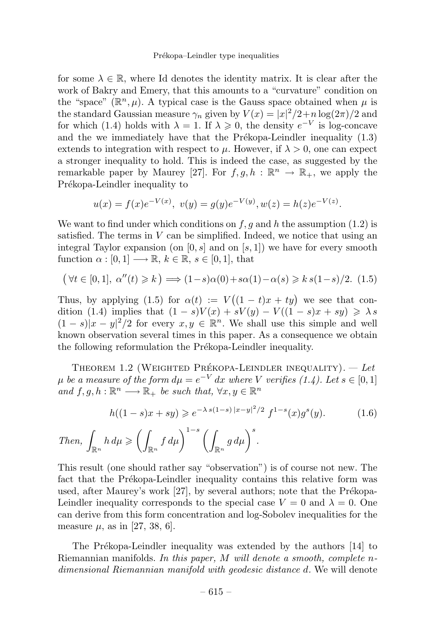for some  $\lambda \in \mathbb{R}$ , where Id denotes the identity matrix. It is clear after the work of Bakry and Emery, that this amounts to a "curvature" condition on the "space"  $(\mathbb{R}^n, \mu)$ . A typical case is the Gauss space obtained when  $\mu$  is the standard Gaussian measure  $\gamma_n$  given by  $V(x) = |x|^2/2 + n \log(2\pi)/2$  and for which (1.4) holds with  $\lambda = 1$ . If  $\lambda \geq 0$ , the density  $e^{-V}$  is log-concave and the we immediately have that the Prékopa-Leindler inequality  $(1.3)$ extends to integration with respect to  $\mu$ . However, if  $\lambda > 0$ , one can expect a stronger inequality to hold. This is indeed the case, as suggested by the remarkable paper by Maurey [27]. For  $f, g, h : \mathbb{R}^n \to \mathbb{R}_+$ , we apply the Prékopa-Leindler inequality to

$$
u(x) = f(x)e^{-V(x)}, \ v(y) = g(y)e^{-V(y)}, w(z) = h(z)e^{-V(z)}.
$$

We want to find under which conditions on *f,g* and *h* the assumption (1.2) is satisfied. The terms in *V* can be simplified. Indeed, we notice that using an integral Taylor expansion (on [0*, s*] and on [*s,* 1]) we have for every smooth function  $\alpha : [0, 1] \longrightarrow \mathbb{R}, k \in \mathbb{R}, s \in [0, 1],$  that

$$
(\forall t \in [0,1], \alpha''(t) \ge k) \Longrightarrow (1-s)\alpha(0) + s\alpha(1) - \alpha(s) \ge k s(1-s)/2. \tag{1.5}
$$

Thus, by applying (1.5) for  $\alpha(t) := V((1-t)x + ty)$  we see that condition (1.4) implies that  $(1 - s)V(x) + sV(y) - V((1 - s)x + sy) \geq \lambda s$  $(1-s)|x-y|^2/2$  for every  $x, y \in \mathbb{R}^n$ . We shall use this simple and well known observation several times in this paper. As a consequence we obtain the following reformulation the Prékopa-Leindler inequality.

THEOREM 1.2 (WEIGHTED PRÉKOPA-LEINDLER INEQUALITY).  $-$  Let  $\mu$  be a measure of the form  $d\mu = e^{-V} dx$  where *V* verifies (1.4). Let  $s \in [0,1]$ and  $f, g, h : \mathbb{R}^n \longrightarrow \mathbb{R}_+$  be such that,  $\forall x, y \in \mathbb{R}^n$ 

$$
h((1-s)x + sy) \geqslant e^{-\lambda s(1-s)|x-y|^2/2} f^{1-s}(x)g^s(y). \tag{1.6}
$$

Then, 
$$
\int_{\mathbb{R}^n} h d\mu \geqslant \left( \int_{\mathbb{R}^n} f d\mu \right)^{1-s} \left( \int_{\mathbb{R}^n} g d\mu \right)^s
$$
.

This result (one should rather say "observation") is of course not new. The fact that the Prékopa-Leindler inequality contains this relative form was used, after Maurey's work  $[27]$ , by several authors; note that the Prékopa-Leindler inequality corresponds to the special case  $V = 0$  and  $\lambda = 0$ . One can derive from this form concentration and log-Sobolev inequalities for the measure  $\mu$ , as in [27, 38, 6].

The Prékopa-Leindler inequality was extended by the authors [14] to Riemannian manifolds. In this paper, *M* will denote a smooth, complete *n*dimensional Riemannian manifold with geodesic distance *d*. We will denote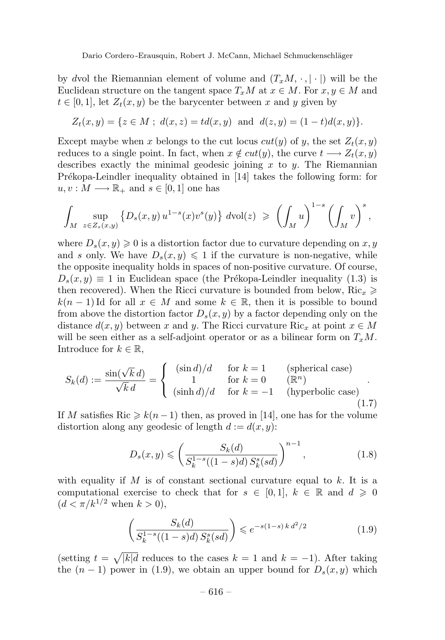by *dvol* the Riemannian element of volume and  $(T_xM, \cdot, | \cdot |)$  will be the Euclidean structure on the tangent space  $T_xM$  at  $x \in M$ . For  $x, y \in M$  and  $t \in [0, 1]$ , let  $Z_t(x, y)$  be the barycenter between x and y given by

$$
Z_t(x,y) = \{ z \in M \; ; \; d(x,z) = td(x,y) \; \text{ and } \; d(z,y) = (1-t)d(x,y) \}.
$$

Except maybe when *x* belongs to the cut locus  $cut(y)$  of *y*, the set  $Z_t(x, y)$ reduces to a single point. In fact, when  $x \notin cut(y)$ , the curve  $t \longrightarrow Z_t(x, y)$ describes exactly the minimal geodesic joining *x* to *y*. The Riemannian Prékopa-Leindler inequality obtained in  $[14]$  takes the following form: for  $u, v: M \longrightarrow \mathbb{R}_+$  and  $s \in [0, 1]$  one has

$$
\int_M \sup_{z \in Z_s(x,y)} \left\{ D_s(x,y) u^{1-s}(x) v^s(y) \right\} d\text{vol}(z) \geqslant \left( \int_M u \right)^{1-s} \left( \int_M v \right)^s,
$$

where  $D_s(x, y) \geq 0$  is a distortion factor due to curvature depending on x, y and *s* only. We have  $D_s(x, y) \leq 1$  if the curvature is non-negative, while the opposite inequality holds in spaces of non-positive curvature. Of course,  $D_s(x, y) \equiv 1$  in Euclidean space (the Prékopa-Leindler inequality (1.3) is then recovered). When the Ricci curvature is bounded from below,  $Ric_x \geq$  $k(n-1)$  Id for all  $x \in M$  and some  $k \in \mathbb{R}$ , then it is possible to bound from above the distortion factor  $D_s(x, y)$  by a factor depending only on the distance  $d(x, y)$  between *x* and *y*. The Ricci curvature  $\text{Ric}_x$  at point  $x \in M$ will be seen either as a self-adjoint operator or as a bilinear form on  $T_xM$ . Introduce for  $k \in \mathbb{R}$ ,

$$
S_k(d) := \frac{\sin(\sqrt{k} d)}{\sqrt{k} d} = \begin{cases} (\sin d)/d & \text{for } k = 1 \\ 1 & \text{for } k = 0 \\ (\sinh d)/d & \text{for } k = -1 \end{cases} \quad \text{(spherical case)} (hyperbolic case) (1.7)
$$

If *M* satisfies Ric  $\geq k(n-1)$  then, as proved in [14], one has for the volume distortion along any geodesic of length  $d := d(x, y)$ :

$$
D_s(x,y) \leqslant \left(\frac{S_k(d)}{S_k^{1-s}((1-s)d)S_k^s(sl)}\right)^{n-1},\tag{1.8}
$$

with equality if  $M$  is of constant sectional curvature equal to  $k$ . It is a computational exercise to check that for  $s \in [0,1], k \in \mathbb{R}$  and  $d \geq 0$  $(d < \pi/k^{1/2} \text{ when } k > 0),$ 

$$
\left(\frac{S_k(d)}{S_k^{1-s}((1-s)d)S_k^s(sl)}\right) \le e^{-s(1-s)k d^2/2} \tag{1.9}
$$

 $(\text{setting } t = \sqrt{|k|}d \text{ reduces to the cases } k = 1 \text{ and } k = -1).$  After taking the  $(n-1)$  power in (1.9), we obtain an upper bound for  $D_s(x, y)$  which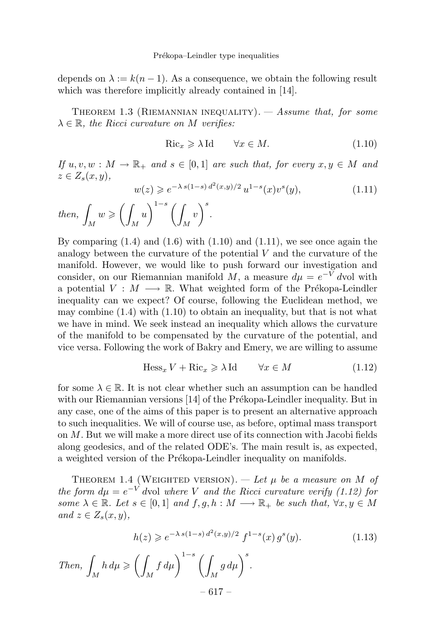depends on  $\lambda := k(n-1)$ . As a consequence, we obtain the following result which was therefore implicitly already contained in [14].

THEOREM 1.3 (RIEMANNIAN INEQUALITY).  $-$  Assume that, for some  $\lambda \in \mathbb{R}$ , the Ricci curvature on *M* verifies:

$$
\text{Ric}_x \geq \lambda \text{Id} \qquad \forall x \in M. \tag{1.10}
$$

If  $u, v, w : M \to \mathbb{R}_+$  and  $s \in [0, 1]$  are such that, for every  $x, y \in M$  and  $z \in Z_s(x, y)$ ,

$$
w(z) \geqslant e^{-\lambda \, s(1-s) \, d^2(x,y)/2} \, u^{1-s}(x) v^s(y),\tag{1.11}
$$

 $then,$  $\int_M w \geqslant \left(\int$ *M*  $u\bigg)^{1-s}$ *M*  $\bigg\{v\bigg\}^s$ .

By comparing  $(1.4)$  and  $(1.6)$  with  $(1.10)$  and  $(1.11)$ , we see once again the analogy between the curvature of the potential *V* and the curvature of the manifold. However, we would like to push forward our investigation and consider, on our Riemannian manifold *M*, a measure  $d\mu = e^{-V} dvol$  with a potential  $V : M \longrightarrow \mathbb{R}$ . What weighted form of the Prékopa-Leindler inequality can we expect? Of course, following the Euclidean method, we may combine  $(1.4)$  with  $(1.10)$  to obtain an inequality, but that is not what we have in mind. We seek instead an inequality which allows the curvature of the manifold to be compensated by the curvature of the potential, and vice versa. Following the work of Bakry and Emery, we are willing to assume

$$
\text{Hess}_x V + \text{Ric}_x \ge \lambda \text{Id} \qquad \forall x \in M \tag{1.12}
$$

for some  $\lambda \in \mathbb{R}$ . It is not clear whether such an assumption can be handled with our Riemannian versions  $[14]$  of the Prékopa-Leindler inequality. But in any case, one of the aims of this paper is to present an alternative approach to such inequalities. We will of course use, as before, optimal mass transport on *M*. But we will make a more direct use of its connection with Jacobi fields along geodesics, and of the related ODE's. The main result is, as expected, a weighted version of the Prékopa-Leindler inequality on manifolds.

THEOREM 1.4 (WEIGHTED VERSION). — Let  $\mu$  be a measure on *M* of the form  $d\mu = e^{-V}$  *dvol where V* and the Ricci curvature verify (1.12) for some  $\lambda \in \mathbb{R}$ . Let  $s \in [0,1]$  and  $f, g, h : M \longrightarrow \mathbb{R}_+$  be such that,  $\forall x, y \in M$  $and z \in Z_s(x, y),$ 

$$
h(z) \geqslant e^{-\lambda s(1-s)\,d^2(x,y)/2} \, f^{1-s}(x) \, g^s(y). \tag{1.13}
$$

Then, 
$$
\int_M h \, d\mu \ge \left( \int_M f \, d\mu \right)^{1-s} \left( \int_M g \, d\mu \right)^s.
$$

$$
- 617 -
$$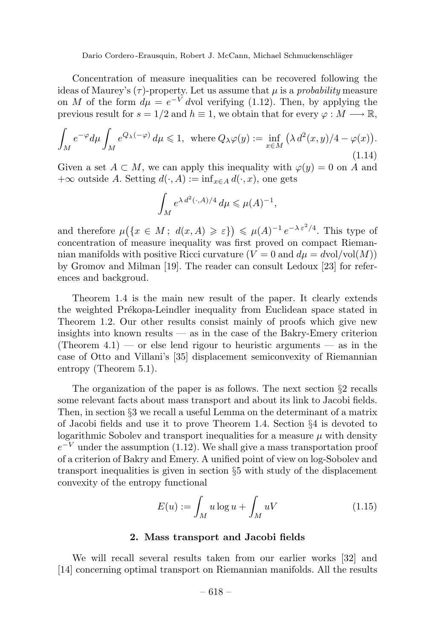Concentration of measure inequalities can be recovered following the ideas of Maurey's  $(\tau)$ -property. Let us assume that  $\mu$  is a *probability* measure on *M* of the form  $d\mu = e^{-V}$  *dvol verifying (1.12).* Then, by applying the previous result for  $s = 1/2$  and  $h \equiv 1$ , we obtain that for every  $\varphi : M \longrightarrow \mathbb{R}$ ,

$$
\int_{M} e^{-\varphi} d\mu \int_{M} e^{Q_{\lambda}(-\varphi)} d\mu \leq 1, \text{ where } Q_{\lambda}\varphi(y) := \inf_{x \in M} \left( \lambda d^{2}(x, y) / 4 - \varphi(x) \right). \tag{1.14}
$$

Given a set  $A \subset M$ , we can apply this inequality with  $\varphi(y) = 0$  on A and  $+\infty$  outside *A*. Setting  $d(\cdot, A) := \inf_{x \in A} d(\cdot, x)$ , one gets

$$
\int_M e^{\lambda d^2(\cdot,A)/4} \, d\mu \leqslant \mu(A)^{-1},
$$

and therefore  $\mu(\lbrace x \in M; d(x, A) \geq \varepsilon \rbrace) \leq \mu(A)^{-1} e^{-\lambda \varepsilon^2/4}$ . This type of concentration of measure inequality was first proved on compact Riemannian manifolds with positive Ricci curvature  $(V = 0$  and  $d\mu = dvol/vol(M)$ by Gromov and Milman [19]. The reader can consult Ledoux [23] for references and backgroud.

Theorem 1.4 is the main new result of the paper. It clearly extends the weighted Prékopa-Leindler inequality from Euclidean space stated in Theorem 1.2. Our other results consist mainly of proofs which give new insights into known results  $\sim$  as in the case of the Bakry-Emery criterion (Theorem 4.1) — or else lend rigour to heuristic arguments — as in the case of Otto and Villani's [35] displacement semiconvexity of Riemannian entropy (Theorem 5.1).

The organization of the paper is as follows. The next section §2 recalls some relevant facts about mass transport and about its link to Jacobi fields. Then, in section §3 we recall a useful Lemma on the determinant of a matrix of Jacobi fields and use it to prove Theorem 1.4. Section §4 is devoted to logarithmic Sobolev and transport inequalities for a measure  $\mu$  with density  $e^{-V}$  under the assumption (1.12). We shall give a mass transportation proof of a criterion of Bakry and Emery. A unified point of view on log-Sobolev and transport inequalities is given in section §5 with study of the displacement convexity of the entropy functional

$$
E(u) := \int_M u \log u + \int_M uV \tag{1.15}
$$

### **2. Mass transport and Jacobi fields**

We will recall several results taken from our earlier works [32] and [14] concerning optimal transport on Riemannian manifolds. All the results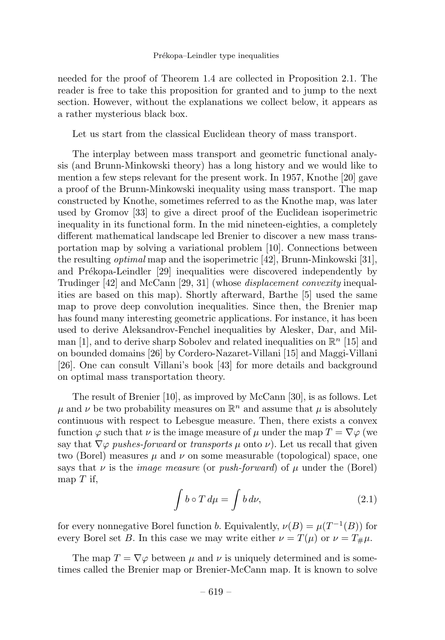#### Prékopa–Leindler type inequalities

needed for the proof of Theorem 1.4 are collected in Proposition 2.1. The reader is free to take this proposition for granted and to jump to the next section. However, without the explanations we collect below, it appears as a rather mysterious black box.

Let us start from the classical Euclidean theory of mass transport.

The interplay between mass transport and geometric functional analysis (and Brunn-Minkowski theory) has a long history and we would like to mention a few steps relevant for the present work. In 1957, Knothe [20] gave a proof of the Brunn-Minkowski inequality using mass transport. The map constructed by Knothe, sometimes referred to as the Knothe map, was later used by Gromov [33] to give a direct proof of the Euclidean isoperimetric inequality in its functional form. In the mid nineteen-eighties, a completely different mathematical landscape led Brenier to discover a new mass transportation map by solving a variational problem [10]. Connections between the resulting *optimal* map and the isoperimetric [42], Brunn-Minkowski [31], and Prékopa-Leindler [29] inequalities were discovered independently by Trudinger [42] and McCann [29, 31] (whose *displacement convexity* inequalities are based on this map). Shortly afterward, Barthe [5] used the same map to prove deep convolution inequalities. Since then, the Brenier map has found many interesting geometric applications. For instance, it has been used to derive Aleksandrov-Fenchel inequalities by Alesker, Dar, and Milman [1], and to derive sharp Sobolev and related inequalities on  $\mathbb{R}^n$  [15] and on bounded domains [26] by Cordero-Nazaret-Villani [15] and Maggi-Villani [26]. One can consult Villani's book [43] for more details and background on optimal mass transportation theory.

The result of Brenier [10], as improved by McCann [30], is as follows. Let  $\mu$  and  $\nu$  be two probability measures on  $\mathbb{R}^n$  and assume that  $\mu$  is absolutely continuous with respect to Lebesgue measure. Then, there exists a convex function  $\varphi$  such that  $\nu$  is the image measure of  $\mu$  under the map  $T = \nabla \varphi$  (we say that  $\nabla \varphi$  pushes-forward or transports  $\mu$  onto  $\nu$ ). Let us recall that given two (Borel) measures  $\mu$  and  $\nu$  on some measurable (topological) space, one says that  $\nu$  is the *image measure* (or *push-forward*) of  $\mu$  under the (Borel) map *T* if,

$$
\int b \circ T d\mu = \int b d\nu, \tag{2.1}
$$

for every nonnegative Borel function *b*. Equivalently,  $\nu(B) = \mu(T^{-1}(B))$  for every Borel set *B*. In this case we may write either  $\nu = T(\mu)$  or  $\nu = T_{\mu}\mu$ .

The map  $T = \nabla \varphi$  between  $\mu$  and  $\nu$  is uniquely determined and is sometimes called the Brenier map or Brenier-McCann map. It is known to solve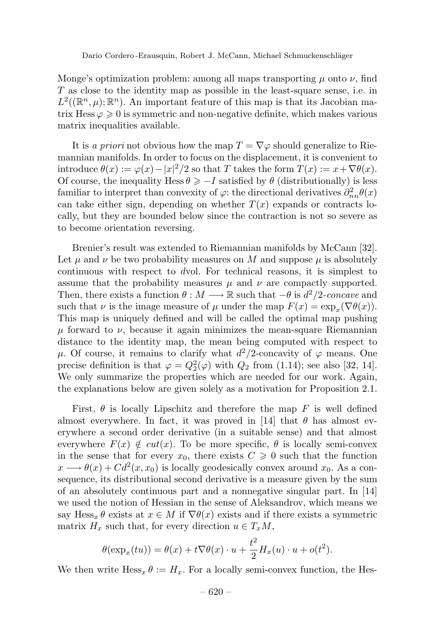Monge's optimization problem: among all maps transporting *µ* onto *ν*, find *T* as close to the identity map as possible in the least-square sense, i.e. in  $L^2((\mathbb{R}^n,\mu);\mathbb{R}^n)$ . An important feature of this map is that its Jacobian matrix Hess  $\varphi \geqslant 0$  is symmetric and non-negative definite, which makes various matrix inequalities available.

It is a priori not obvious how the map  $T = \nabla \varphi$  should generalize to Riemannian manifolds. In order to focus on the displacement, it is convenient to introduce  $\theta(x) := \varphi(x) - |x|^2/2$  so that *T* takes the form  $T(x) := x + \nabla \theta(x)$ . Of course, the inequality Hess  $\theta \ge -I$  satisfied by  $\theta$  (distributionally) is less familiar to interpret than convexity of  $\varphi$ : the directional derivatives  $\partial_{nn}^2 \theta(x)$ can take either sign, depending on whether  $T(x)$  expands or contracts locally, but they are bounded below since the contraction is not so severe as to become orientation reversing.

Brenier's result was extended to Riemannian manifolds by McCann [32]. Let  $\mu$  and  $\nu$  be two probability measures on M and suppose  $\mu$  is absolutely continuous with respect to *d*vol. For technical reasons, it is simplest to assume that the probability measures  $\mu$  and  $\nu$  are compactly supported. Then, there exists a function  $\theta : M \longrightarrow \mathbb{R}$  such that  $-\theta$  is  $d^2/2$ -concave and such that *ν* is the image measure of  $\mu$  under the map  $F(x) = \exp_x(\nabla \theta(x))$ . This map is uniquely defined and will be called the optimal map pushing  $\mu$  forward to  $\nu$ , because it again minimizes the mean-square Riemannian distance to the identity map, the mean being computed with respect to  $\mu$ . Of course, it remains to clarify what *d*<sup>2</sup>/2-concavity of  $\varphi$  means. One precise definition is that  $\varphi = Q_2^2(\varphi)$  with  $Q_2$  from (1.14); see also [32, 14]. We only summarize the properties which are needed for our work. Again, the explanations below are given solely as a motivation for Proposition 2.1.

First, *θ* is locally Lipschitz and therefore the map *F* is well defined almost everywhere. In fact, it was proved in [14] that  $\theta$  has almost everywhere a second order derivative (in a suitable sense) and that almost everywhere  $F(x) \notin cut(x)$ . To be more specific,  $\theta$  is locally semi-convex in the sense that for every  $x_0$ , there exists  $C \geq 0$  such that the function  $x \rightarrow \theta(x) + Cd^2(x, x_0)$  is locally geodesically convex around  $x_0$ . As a consequence, its distributional second derivative is a measure given by the sum of an absolutely continuous part and a nonnegative singular part. In [14] we used the notion of Hessian in the sense of Aleksandrov, which means we say Hess<sub>x</sub></sub>  $\theta$  exists at  $x \in M$  if  $\nabla \theta(x)$  exists and if there exists a symmetric matrix  $H_x$  such that, for every direction  $u \in T_xM$ ,

$$
\theta(\exp_x(tu)) = \theta(x) + t\nabla\theta(x) \cdot u + \frac{t^2}{2}H_x(u) \cdot u + o(t^2).
$$

We then write  $Hess_x \theta := H_x$ . For a locally semi-convex function, the Hes-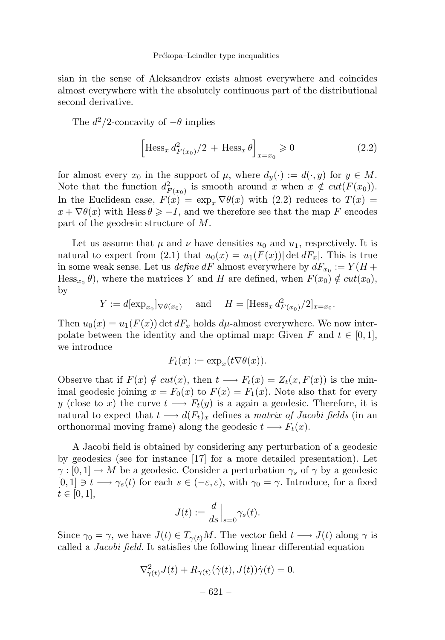sian in the sense of Aleksandrov exists almost everywhere and coincides almost everywhere with the absolutely continuous part of the distributional second derivative.

The  $d^2/2$ -concavity of  $-\theta$  implies

$$
\left[\text{Hess}_x \, d_{F(x_0)}^2 / 2 + \text{Hess}_x \, \theta\right]_{x=x_0} \geq 0\tag{2.2}
$$

for almost every  $x_0$  in the support of  $\mu$ , where  $d_y(\cdot) := d(\cdot, y)$  for  $y \in M$ . Note that the function  $d_{F(x_0)}^2$  is smooth around *x* when  $x \notin cut(F(x_0))$ . In the Euclidean case,  $F(x) = \exp_x \nabla \theta(x)$  with (2.2) reduces to  $T(x) =$  $x + \nabla \theta(x)$  with Hess  $\theta \ge -I$ , and we therefore see that the map *F* encodes part of the geodesic structure of *M*.

Let us assume that  $\mu$  and  $\nu$  have densities  $u_0$  and  $u_1$ , respectively. It is natural to expect from (2.1) that  $u_0(x) = u_1(F(x)) |\det dF_x|$ . This is true in some weak sense. Let us *define dF* almost everywhere by  $dF_{x_0} := Y(H +$ Hess<sub>*x*<sup>0</sup></sub> $\theta$ ), where the matrices *Y* and *H* are defined, when  $F(x_0) \notin cut(x_0)$ , by

 $Y := d[\exp_{x_0}]_{\nabla \theta(x_0)}$  and  $H = [\text{Hess}_x d_{F(x_0)}^2/2]_{x=x_0}$ .

Then  $u_0(x) = u_1(F(x))$  det  $dF_x$  holds  $d\mu$ -almost everywhere. We now interpolate between the identity and the optimal map: Given  $F$  and  $t \in [0,1]$ , we introduce

$$
F_t(x) := \exp_x(t\nabla\theta(x)).
$$

Observe that if  $F(x) \notin cut(x)$ , then  $t \longrightarrow F_t(x) = Z_t(x, F(x))$  is the minimal geodesic joining  $x = F_0(x)$  to  $F(x) = F_1(x)$ . Note also that for every *y* (close to *x*) the curve  $t \longrightarrow F_t(y)$  is a again a geodesic. Therefore, it is natural to expect that  $t \longrightarrow d(F_t)_x$  defines a matrix of Jacobi fields (in an orthonormal moving frame) along the geodesic  $t \rightarrow F_t(x)$ .

A Jacobi field is obtained by considering any perturbation of a geodesic by geodesics (see for instance [17] for a more detailed presentation). Let  $\gamma : [0,1] \to M$  be a geodesic. Consider a perturbation  $\gamma_s$  of  $\gamma$  by a geodesic  $[0,1] \ni t \longrightarrow \gamma_s(t)$  for each  $s \in (-\varepsilon,\varepsilon)$ , with  $\gamma_0 = \gamma$ . Introduce, for a fixed  $t \in [0, 1],$ 

$$
J(t) := \frac{d}{ds}\Big|_{s=0} \gamma_s(t).
$$

Since  $\gamma_0 = \gamma$ , we have  $J(t) \in T_{\gamma(t)}M$ . The vector field  $t \longrightarrow J(t)$  along  $\gamma$  is called a Jacobi field. It satisfies the following linear differential equation

$$
\nabla^2_{\dot{\gamma}(t)} J(t) + R_{\gamma(t)}(\dot{\gamma}(t), J(t))\dot{\gamma}(t) = 0.
$$
  
- 621 -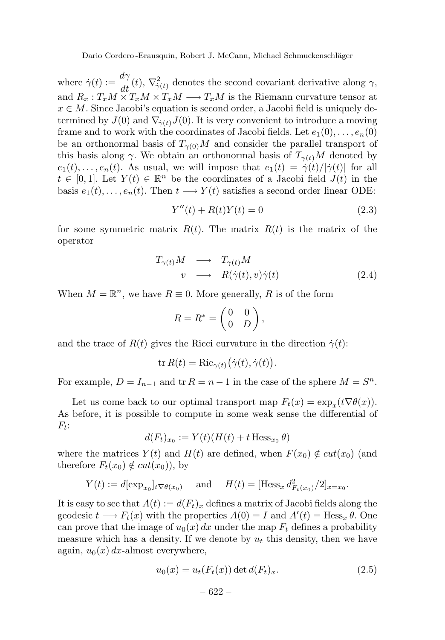where  $\dot{\gamma}(t) := \frac{d\gamma}{dt}(t), \nabla^2_{\dot{\gamma}(t)}$  denotes the second covariant derivative along  $\gamma$ , and  $R_x: T_xM \times T_xM \times T_xM \longrightarrow T_xM$  is the Riemann curvature tensor at  $x \in M$ . Since Jacobi's equation is second order, a Jacobi field is uniquely determined by  $J(0)$  and  $\nabla_{\dot{\gamma}(t)}J(0)$ . It is very convenient to introduce a moving frame and to work with the coordinates of Jacobi fields. Let  $e_1(0), \ldots, e_n(0)$ be an orthonormal basis of  $T_{\gamma(0)}M$  and consider the parallel transport of this basis along *γ*. We obtain an orthonormal basis of  $T_{\gamma(t)}M$  denoted by  $e_1(t), \ldots, e_n(t)$ . As usual, we will impose that  $e_1(t)=\dot{\gamma}(t)/|\dot{\gamma}(t)|$  for all  $t \in [0,1]$ . Let  $Y(t) \in \mathbb{R}^n$  be the coordinates of a Jacobi field  $J(t)$  in the basis  $e_1(t), \ldots, e_n(t)$ . Then  $t \longrightarrow Y(t)$  satisfies a second order linear ODE:

$$
Y''(t) + R(t)Y(t) = 0
$$
\n(2.3)

for some symmetric matrix  $R(t)$ . The matrix  $R(t)$  is the matrix of the operator

$$
T_{\gamma(t)}M \longrightarrow T_{\gamma(t)}M
$$
  
\n
$$
v \longrightarrow R(\dot{\gamma}(t), v)\dot{\gamma}(t)
$$
 (2.4)

When  $M = \mathbb{R}^n$ , we have  $R \equiv 0$ . More generally, R is of the form

$$
R = R^* = \begin{pmatrix} 0 & 0 \\ 0 & D \end{pmatrix},
$$

and the trace of  $R(t)$  gives the Ricci curvature in the direction  $\dot{\gamma}(t)$ :

$$
\operatorname{tr} R(t) = \operatorname{Ric}_{\gamma(t)}(\dot{\gamma}(t), \dot{\gamma}(t)).
$$

For example,  $D = I_{n-1}$  and  $\text{tr } R = n-1$  in the case of the sphere  $M = S^n$ .

Let us come back to our optimal transport map  $F_t(x) = \exp_x(t\nabla\theta(x))$ . As before, it is possible to compute in some weak sense the differential of *Ft*:

$$
d(F_t)_{x_0} := Y(t)(H(t) + t \operatorname{Hess}_{x_0} \theta)
$$

where the matrices  $Y(t)$  and  $H(t)$  are defined, when  $F(x_0) \notin cut(x_0)$  (and therefore  $F_t(x_0) \notin cut(x_0)$ , by

$$
Y(t) := d[\exp_{x_0}]_t \nabla \theta(x_0)
$$
 and  $H(t) = [\text{Hess}_x d_{F_t(x_0)}^2/2]_{x=x_0}.$ 

It is easy to see that  $A(t) := d(F_t)_x$  defines a matrix of Jacobi fields along the geodesic  $t \longrightarrow F_t(x)$  with the properties  $A(0) = I$  and  $A'(t) = \text{Hess}_x \theta$ . One can prove that the image of  $u_0(x) dx$  under the map  $F_t$  defines a probability measure which has a density. If we denote by *u<sup>t</sup>* this density, then we have again,  $u_0(x) dx$ -almost everywhere,

$$
u_0(x) = u_t(F_t(x)) \det d(F_t)_x.
$$
\n
$$
(2.5)
$$

$$
-622-
$$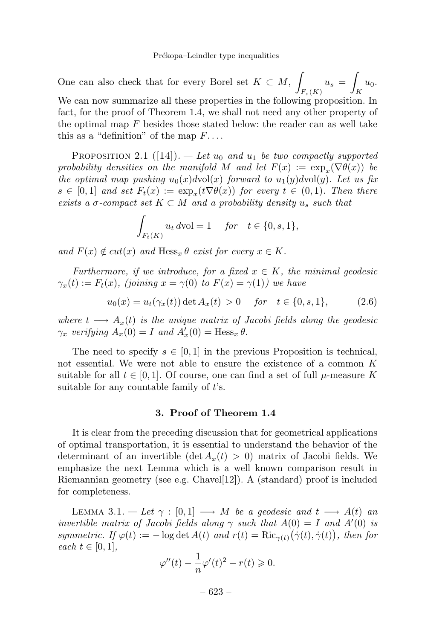One can also check that for every Borel set  $K \subset M$ , *Fs*(*K*)  $u_s =$  $\int_K u_0.$ We can now summarize all these properties in the following proposition. In fact, for the proof of Theorem 1.4, we shall not need any other property of the optimal map *F* besides those stated below: the reader can as well take this as a "definition" of the map *F*....

PROPOSITION 2.1 ([14]). — Let  $u_0$  and  $u_1$  be two compactly supported probability densities on the manifold *M* and let  $F(x) := \exp_x(\nabla \theta(x))$  be the optimal map pushing  $u_0(x)$  dvol(x) forward to  $u_1(y)$  dvol(y). Let us fix  $s \in [0,1]$  and set  $F_t(x) := \exp_x(t\nabla\theta(x))$  for every  $t \in (0,1)$ . Then there exists a  $\sigma$ -compact set  $K \subset M$  and a probability density  $u_s$  such that

$$
\int_{F_t(K)} u_t \, d\text{vol} = 1 \quad \text{for} \quad t \in \{0, s, 1\},
$$

and  $F(x) \notin cut(x)$  and  $Hess_x \theta$  exist for every  $x \in K$ .

Furthermore, if we introduce, for a fixed  $x \in K$ , the minimal geodesic  $\gamma_x(t) := F_t(x)$ , (joining  $x = \gamma(0)$  to  $F(x) = \gamma(1)$ ) we have

$$
u_0(x) = u_t(\gamma_x(t)) \det A_x(t) > 0 \quad \text{for} \quad t \in \{0, s, 1\}, \tag{2.6}
$$

where  $t \longrightarrow A_x(t)$  is the unique matrix of Jacobi fields along the geodesic *γ*<sub>*x*</sub> verifying  $A_x(0) = I$  and  $A'_x(0) = \text{Hess}_x \theta$ .

The need to specify  $s \in [0,1]$  in the previous Proposition is technical, not essential. We were not able to ensure the existence of a common *K* suitable for all  $t \in [0, 1]$ . Of course, one can find a set of full  $\mu$ -measure K suitable for any countable family of *t*'s.

# **3. Proof of Theorem 1.4**

It is clear from the preceding discussion that for geometrical applications of optimal transportation, it is essential to understand the behavior of the determinant of an invertible  $(\det A_x(t) > 0)$  matrix of Jacobi fields. We emphasize the next Lemma which is a well known comparison result in Riemannian geometry (see e.g. Chavel[12]). A (standard) proof is included for completeness.

LEMMA 3.1. — Let  $\gamma : [0,1] \longrightarrow M$  be a geodesic and  $t \longrightarrow A(t)$  and invertible matrix of Jacobi fields along  $\gamma$  such that  $A(0) = I$  and  $A'(0)$  is symmetric. If  $\varphi(t) := -\log \det A(t)$  and  $r(t) = \text{Ric}_{\gamma(t)}(\dot{\gamma}(t), \dot{\gamma}(t))$ , then for  $each t \in [0, 1],$ 

$$
\varphi''(t) - \frac{1}{n}\varphi'(t)^2 - r(t) \geqslant 0.
$$

– 623 –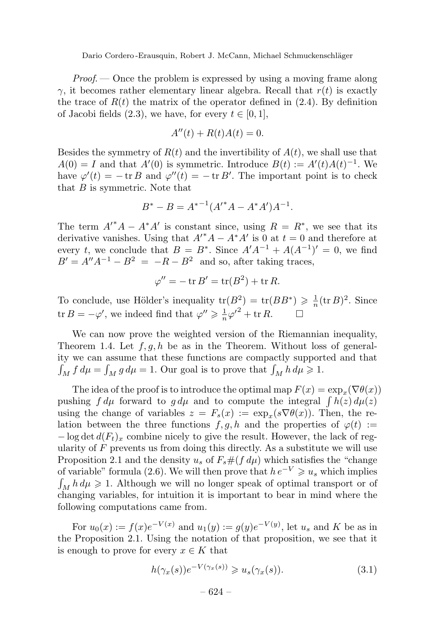$Proof.$  — Once the problem is expressed by using a moving frame along *γ*, it becomes rather elementary linear algebra. Recall that  $r(t)$  is exactly the trace of  $R(t)$  the matrix of the operator defined in  $(2.4)$ . By definition of Jacobi fields  $(2.3)$ , we have, for every  $t \in [0, 1]$ ,

$$
A''(t) + R(t)A(t) = 0.
$$

Besides the symmetry of  $R(t)$  and the invertibility of  $A(t)$ , we shall use that  $A(0) = I$  and that  $A'(0)$  is symmetric. Introduce  $B(t) := A'(t)A(t)^{-1}$ . We have  $\varphi'(t) = -\operatorname{tr} B$  and  $\varphi''(t) = -\operatorname{tr} B'$ . The important point is to check that *B* is symmetric. Note that

$$
B^* - B = A^{*-1}(A'^*A - A^*A')A^{-1}.
$$

The term  $A^*A - A^*A'$  is constant since, using  $R = R^*$ , we see that its derivative vanishes. Using that  $A^{\prime*}A - A^*A'$  is 0 at  $t = 0$  and therefore at every *t*, we conclude that  $B = B^*$ . Since  $A'A^{-1} + A(A^{-1})' = 0$ , we find  $B' = A''A^{-1} - B^2 = -R - B^2$  and so, after taking traces,

$$
\varphi'' = -\operatorname{tr} B' = \operatorname{tr} (B^2) + \operatorname{tr} R.
$$

To conclude, use Hölder's inequality  $tr(B^2) = tr(BB^*) \geq \frac{1}{n} (tr B)^2$ . Since tr  $B = -\varphi'$ , we indeed find that  $\varphi'' \ge \frac{1}{n} \varphi'^2 + \text{tr } R$ .

We can now prove the weighted version of the Riemannian inequality, Theorem 1.4. Let *f, g, h* be as in the Theorem. Without loss of generality we can assume that these functions are compactly supported and that  $\int_M f d\mu = \int_M g d\mu = 1$ . Our goal is to prove that  $\int_M h d\mu \geq 1$ .

The idea of the proof is to introduce the optimal map  $F(x) = \exp_x(\nabla \theta(x))$ pushing  $f d\mu$  forward to  $g d\mu$  and to compute the integral  $\int h(z) d\mu(z)$ using the change of variables  $z = F_s(x) := \exp_x(s\nabla\theta(x))$ . Then, the relation between the three functions  $f, g, h$  and the properties of  $\varphi(t) :=$  $-\log \det d(F_t)_x$  combine nicely to give the result. However, the lack of regularity of *F* prevents us from doing this directly. As a substitute we will use Proposition 2.1 and the density  $u_s$  of  $F_s \# (f d\mu)$  which satisfies the "change" of variable" formula (2.6). We will then prove that  $h e^{-V} \geq u_s$  which implies  $\int_M h d\mu \geq 1$ . Although we will no longer speak of optimal transport or of changing variables, for intuition it is important to bear in mind where the following computations came from.

For  $u_0(x) := f(x)e^{-V(x)}$  and  $u_1(y) := g(y)e^{-V(y)}$ , let  $u_s$  and *K* be as in the Proposition 2.1. Using the notation of that proposition, we see that it is enough to prove for every  $x \in K$  that

$$
h(\gamma_x(s))e^{-V(\gamma_x(s))} \geqslant u_s(\gamma_x(s)).\tag{3.1}
$$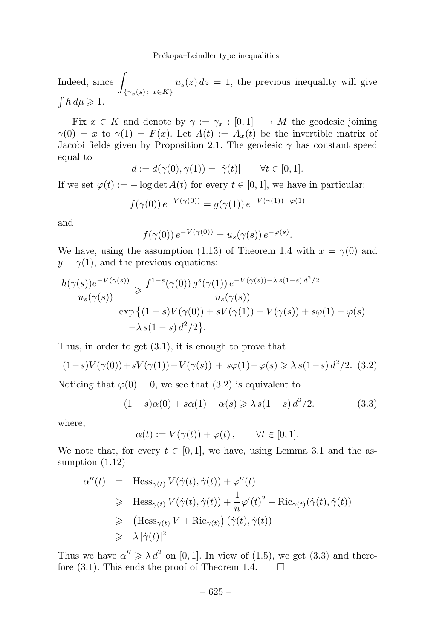Indeed, since  $\int$ {*γx*(*s*) ; *x*∈*K*}  $u_s(z) dz = 1$ , the previous inequality will give  $\int h \, du \geq 1$ .

Fix  $x \in K$  and denote by  $\gamma := \gamma_x : [0,1] \longrightarrow M$  the geodesic joining  $\gamma(0) = x$  to  $\gamma(1) = F(x)$ . Let  $A(t) := A_x(t)$  be the invertible matrix of Jacobi fields given by Proposition 2.1. The geodesic  $\gamma$  has constant speed equal to

$$
d := d(\gamma(0), \gamma(1)) = |\dot{\gamma}(t)| \qquad \forall t \in [0, 1].
$$

If we set  $\varphi(t) := -\log \det A(t)$  for every  $t \in [0, 1]$ , we have in particular:

$$
f(\gamma(0)) e^{-V(\gamma(0))} = g(\gamma(1)) e^{-V(\gamma(1)) - \varphi(1)}
$$

and

$$
f(\gamma(0)) e^{-V(\gamma(0))} = u_s(\gamma(s)) e^{-\varphi(s)}.
$$

We have, using the assumption (1.13) of Theorem 1.4 with  $x = \gamma(0)$  and  $y = \gamma(1)$ , and the previous equations:

$$
\frac{h(\gamma(s))e^{-V(\gamma(s))}}{u_s(\gamma(s))} \geq \frac{f^{1-s}(\gamma(0))g^s(\gamma(1))e^{-V(\gamma(s))-\lambda s(1-s)\,d^2/2}}{u_s(\gamma(s))}
$$

$$
= \exp\left\{(1-s)V(\gamma(0)) + sV(\gamma(1)) - V(\gamma(s)) + s\varphi(1) - \varphi(s) -\lambda s(1-s)\,d^2/2\right\}.
$$

Thus, in order to get  $(3.1)$ , it is enough to prove that

$$
(1-s)V(\gamma(0)) + sV(\gamma(1)) - V(\gamma(s)) + s\varphi(1) - \varphi(s) \ge \lambda \, s(1-s) \, d^2/2. \tag{3.2}
$$

Noticing that  $\varphi(0) = 0$ , we see that (3.2) is equivalent to

$$
(1 - s)\alpha(0) + s\alpha(1) - \alpha(s) \ge \lambda s(1 - s) d^2/2.
$$
 (3.3)

where,

$$
\alpha(t) := V(\gamma(t)) + \varphi(t), \qquad \forall t \in [0, 1].
$$

We note that, for every  $t \in [0,1]$ , we have, using Lemma 3.1 and the assumption (1.12)

$$
\alpha''(t) = \text{Hess}_{\gamma(t)} V(\dot{\gamma}(t), \dot{\gamma}(t)) + \varphi''(t)
$$
  
\n
$$
\geq \text{Hess}_{\gamma(t)} V(\dot{\gamma}(t), \dot{\gamma}(t)) + \frac{1}{n} \varphi'(t)^2 + \text{Ric}_{\gamma(t)}(\dot{\gamma}(t), \dot{\gamma}(t))
$$
  
\n
$$
\geq (\text{Hess}_{\gamma(t)} V + \text{Ric}_{\gamma(t)}) (\dot{\gamma}(t), \dot{\gamma}(t))
$$
  
\n
$$
\geq \lambda |\dot{\gamma}(t)|^2
$$

Thus we have  $\alpha'' \ge \lambda d^2$  on [0, 1]. In view of (1.5), we get (3.3) and therefore (3.1). This ends the proof of Theorem 1.4.  $\Box$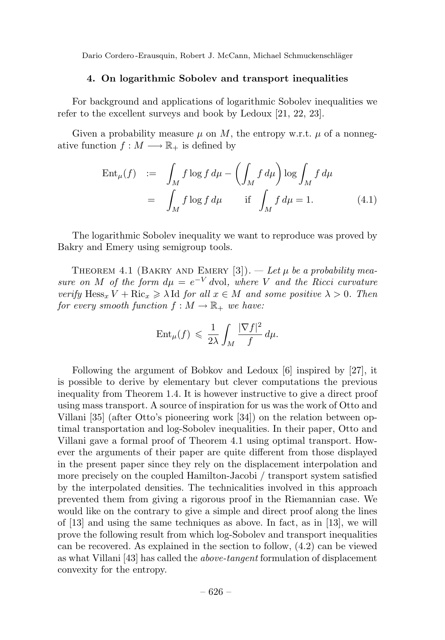## **4. On logarithmic Sobolev and transport inequalities**

For background and applications of logarithmic Sobolev inequalities we refer to the excellent surveys and book by Ledoux [21, 22, 23].

Given a probability measure  $\mu$  on M, the entropy w.r.t.  $\mu$  of a nonnegative function  $f : M \longrightarrow \mathbb{R}_+$  is defined by

$$
\operatorname{Ent}_{\mu}(f) := \int_{M} f \log f \, d\mu - \left( \int_{M} f \, d\mu \right) \log \int_{M} f \, d\mu
$$
\n
$$
= \int_{M} f \log f \, d\mu \quad \text{if} \int_{M} f \, d\mu = 1. \tag{4.1}
$$

The logarithmic Sobolev inequality we want to reproduce was proved by Bakry and Emery using semigroup tools.

THEOREM 4.1 (BAKRY AND EMERY  $[3]$ ). — Let  $\mu$  be a probability measure on *M* of the form  $d\mu = e^{-V}$  dvol, where *V* and the Ricci curvature verify  $\text{Hess}_x V + \text{Ric}_x \ge \lambda \text{Id}$  for all  $x \in M$  and some positive  $\lambda > 0$ . Then for every smooth function  $f : M \to \mathbb{R}_+$  we have:

$$
\operatorname{Ent}_{\mu}(f) \leqslant \frac{1}{2\lambda} \int_M \frac{|\nabla f|^2}{f} d\mu.
$$

Following the argument of Bobkov and Ledoux [6] inspired by [27], it is possible to derive by elementary but clever computations the previous inequality from Theorem 1.4. It is however instructive to give a direct proof using mass transport. A source of inspiration for us was the work of Otto and Villani [35] (after Otto's pioneering work [34]) on the relation between optimal transportation and log-Sobolev inequalities. In their paper, Otto and Villani gave a formal proof of Theorem 4.1 using optimal transport. However the arguments of their paper are quite different from those displayed in the present paper since they rely on the displacement interpolation and more precisely on the coupled Hamilton-Jacobi / transport system satisfied by the interpolated densities. The technicalities involved in this approach prevented them from giving a rigorous proof in the Riemannian case. We would like on the contrary to give a simple and direct proof along the lines of [13] and using the same techniques as above. In fact, as in [13], we will prove the following result from which log-Sobolev and transport inequalities can be recovered. As explained in the section to follow, (4.2) can be viewed as what Villani [43] has called the above-tangent formulation of displacement convexity for the entropy.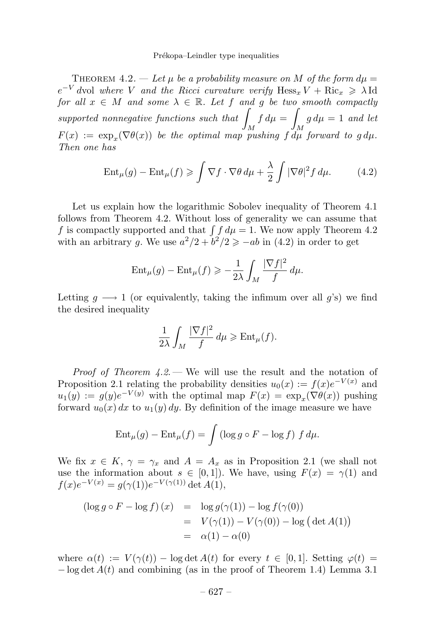THEOREM 4.2. — Let  $\mu$  be a probability measure on M of the form  $d\mu =$  $e^{-V}$  *dvol where V and the Ricci curvature verify*  $Hess_x V + Ric_x \ge \lambda Id$ for all  $x \in M$  and some  $\lambda \in \mathbb{R}$ . Let f and g be two smooth compactly supported nonnegative functions such that  $\vert$ *M*  $f d\mu =$ *M*  $g d\mu = 1$  and let  $F(x) := \exp_x(\nabla \theta(x))$  be the optimal map pushing  $f \, d\mu$  forward to  $q \, d\mu$ . Then one has

$$
\operatorname{Ent}_{\mu}(g) - \operatorname{Ent}_{\mu}(f) \geqslant \int \nabla f \cdot \nabla \theta \, d\mu + \frac{\lambda}{2} \int |\nabla \theta|^2 f \, d\mu. \tag{4.2}
$$

Let us explain how the logarithmic Sobolev inequality of Theorem 4.1 follows from Theorem 4.2. Without loss of generality we can assume that *f* is compactly supported and that  $\int f d\mu = 1$ . We now apply Theorem 4.2 with an arbitrary *g*. We use  $a^2/2 + b^2/2 \ge -ab$  in (4.2) in order to get

$$
\operatorname{Ent}_{\mu}(g) - \operatorname{Ent}_{\mu}(f) \geqslant -\frac{1}{2\lambda} \int_{M} \frac{|\nabla f|^{2}}{f} d\mu.
$$

Letting  $g \longrightarrow 1$  (or equivalently, taking the infimum over all  $g$ 's) we find the desired inequality

$$
\frac{1}{2\lambda} \int_M \frac{|\nabla f|^2}{f} d\mu \geq \text{Ent}_{\mu}(f).
$$

*Proof of Theorem 4.2.* — We will use the result and the notation of Proposition 2.1 relating the probability densities  $u_0(x) := f(x)e^{-V(x)}$  and  $u_1(y) := g(y)e^{-V(y)}$  with the optimal map  $F(x) = \exp_x(\nabla \theta(x))$  pushing forward  $u_0(x) dx$  to  $u_1(y) dy$ . By definition of the image measure we have

$$
\operatorname{Ent}_{\mu}(g) - \operatorname{Ent}_{\mu}(f) = \int \left(\log g \circ F - \log f\right) f d\mu.
$$

We fix  $x \in K$ ,  $\gamma = \gamma_x$  and  $A = A_x$  as in Proposition 2.1 (we shall not use the information about  $s \in [0,1]$ . We have, using  $F(x) = \gamma(1)$  and  $f(x)e^{-V(x)} = q(\gamma(1))e^{-V(\gamma(1))}\det A(1),$ 

$$
(\log g \circ F - \log f)(x) = \log g(\gamma(1)) - \log f(\gamma(0))
$$
  
=  $V(\gamma(1)) - V(\gamma(0)) - \log (\det A(1))$   
=  $\alpha(1) - \alpha(0)$ 

where  $\alpha(t) := V(\gamma(t)) - \log \det A(t)$  for every  $t \in [0, 1]$ . Setting  $\varphi(t) =$  $-\log \det A(t)$  and combining (as in the proof of Theorem 1.4) Lemma 3.1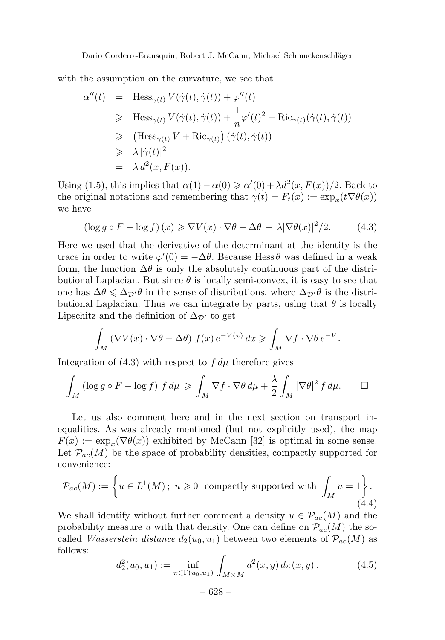with the assumption on the curvature, we see that

$$
\alpha''(t) = \text{Hess}_{\gamma(t)} V(\dot{\gamma}(t), \dot{\gamma}(t)) + \varphi''(t)
$$
  
\n
$$
\geq \text{Hess}_{\gamma(t)} V(\dot{\gamma}(t), \dot{\gamma}(t)) + \frac{1}{n} \varphi'(t)^2 + \text{Ric}_{\gamma(t)}(\dot{\gamma}(t), \dot{\gamma}(t))
$$
  
\n
$$
\geq (\text{Hess}_{\gamma(t)} V + \text{Ric}_{\gamma(t)}) (\dot{\gamma}(t), \dot{\gamma}(t))
$$
  
\n
$$
\geq \lambda |\dot{\gamma}(t)|^2
$$
  
\n
$$
= \lambda d^2(x, F(x)).
$$

Using (1.5), this implies that  $\alpha(1) - \alpha(0) \ge \alpha'(0) + \lambda d^2(x, F(x))/2$ . Back to the original notations and remembering that  $\gamma(t) = F_t(x) := \exp_x(t\nabla\theta(x))$ we have

$$
(\log g \circ F - \log f)(x) \geq \nabla V(x) \cdot \nabla \theta - \Delta \theta + \lambda |\nabla \theta(x)|^2 / 2. \tag{4.3}
$$

Here we used that the derivative of the determinant at the identity is the trace in order to write  $\varphi'(0) = -\Delta\theta$ . Because Hess  $\theta$  was defined in a weak form, the function  $\Delta\theta$  is only the absolutely continuous part of the distributional Laplacian. But since  $\theta$  is locally semi-convex, it is easy to see that one has  $\Delta\theta \leq \Delta_{\mathcal{D}}\theta$  in the sense of distributions, where  $\Delta_{\mathcal{D}}\theta$  is the distributional Laplacian. Thus we can integrate by parts, using that  $\theta$  is locally Lipschitz and the definition of  $\Delta_{\mathcal{D}'}$  to get

$$
\int_M \left(\nabla V(x) \cdot \nabla \theta - \Delta \theta\right) f(x) e^{-V(x)} dx \geqslant \int_M \nabla f \cdot \nabla \theta e^{-V}.
$$

Integration of  $(4.3)$  with respect to  $f d\mu$  therefore gives

$$
\int_M (\log g \circ F - \log f) f d\mu \ge \int_M \nabla f \cdot \nabla \theta d\mu + \frac{\lambda}{2} \int_M |\nabla \theta|^2 f d\mu. \qquad \Box
$$

Let us also comment here and in the next section on transport inequalities. As was already mentioned (but not explicitly used), the map  $F(x) := \exp_x(\nabla \theta(x))$  exhibited by McCann [32] is optimal in some sense. Let  $\mathcal{P}_{ac}(M)$  be the space of probability densities, compactly supported for convenience:

$$
\mathcal{P}_{ac}(M) := \left\{ u \in L^1(M); \ u \geqslant 0 \text{ compactly supported with } \int_M u = 1 \right\}.
$$
\n(4.4)

We shall identify without further comment a density  $u \in \mathcal{P}_{ac}(M)$  and the probability measure *u* with that density. One can define on  $\mathcal{P}_{ac}(M)$  the socalled *Wasserstein distance*  $d_2(u_0, u_1)$  between two elements of  $\mathcal{P}_{ac}(M)$  as follows:

$$
d_2^2(u_0, u_1) := \inf_{\pi \in \Gamma(u_0, u_1)} \int_{M \times M} d^2(x, y) d\pi(x, y).
$$
 (4.5)

$$
- 628 -
$$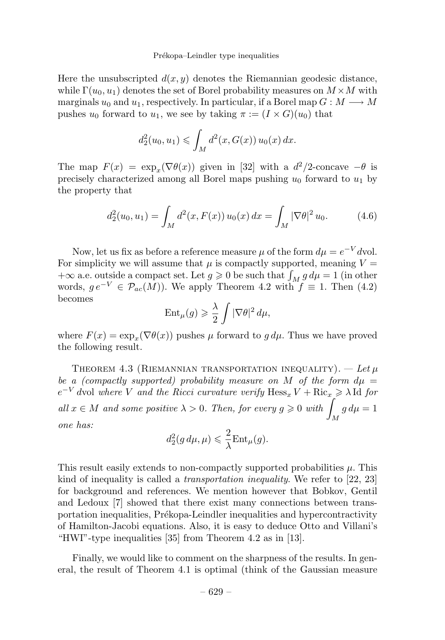#### Prékopa–Leindler type inequalities

Here the unsubscripted  $d(x, y)$  denotes the Riemannian geodesic distance, while  $\Gamma(u_0, u_1)$  denotes the set of Borel probability measures on  $M \times M$  with marginals  $u_0$  and  $u_1$ , respectively. In particular, if a Borel map  $G : M \longrightarrow M$ pushes  $u_0$  forward to  $u_1$ , we see by taking  $\pi := (I \times G)(u_0)$  that

$$
d_2^2(u_0, u_1) \leq \int_M d^2(x, G(x)) u_0(x) dx.
$$

The map  $F(x) = \exp_x(\nabla \theta(x))$  given in [32] with a  $d^2/2$ -concave  $-\theta$  is precisely characterized among all Borel maps pushing  $u_0$  forward to  $u_1$  by the property that

$$
d_2^2(u_0, u_1) = \int_M d^2(x, F(x)) u_0(x) dx = \int_M |\nabla \theta|^2 u_0.
$$
 (4.6)

Now, let us fix as before a reference measure  $\mu$  of the form  $d\mu = e^{-V}d$ vol. For simplicity we will assume that  $\mu$  is compactly supported, meaning  $V =$  $+\infty$  a.e. outside a compact set. Let  $g \ge 0$  be such that  $\int_M g d\mu = 1$  (in other words,  $ge^{-V} \in \mathcal{P}_{ac}(M)$ . We apply Theorem 4.2 with  $f \equiv 1$ . Then (4.2) becomes

$$
\operatorname{Ent}_{\mu}(g) \geqslant \frac{\lambda}{2} \int |\nabla \theta|^2 \, d\mu,
$$

where  $F(x) = \exp_x(\nabla \theta(x))$  pushes  $\mu$  forward to  $g d\mu$ . Thus we have proved the following result.

THEOREM 4.3 (RIEMANNIAN TRANSPORTATION INEQUALITY).  $-$  Let  $\mu$ be a (compactly supported) probability measure on *M* of the form  $d\mu =$  $e^{-V}$  *dvol where V and the Ricci curvature verify*  $Hess_x V + Ric_x \geq \lambda$  Id for all  $x \in M$  and some positive  $\lambda > 0$ . Then, for every  $g \geq 0$  with  $\lambda$ *M*  $g d\mu = 1$ one has:

$$
d_2^2(g\,d\mu,\mu) \leqslant \frac{2}{\lambda} \text{Ent}_{\mu}(g).
$$

This result easily extends to non-compactly supported probabilities *µ*. This kind of inequality is called a *transportation inequality*. We refer to  $[22, 23]$ for background and references. We mention however that Bobkov, Gentil and Ledoux [7] showed that there exist many connections between transportation inequalities, Prékopa-Leindler inequalities and hypercontractivity of Hamilton-Jacobi equations. Also, it is easy to deduce Otto and Villani's "HWI"-type inequalities [35] from Theorem 4.2 as in [13].

Finally, we would like to comment on the sharpness of the results. In general, the result of Theorem 4.1 is optimal (think of the Gaussian measure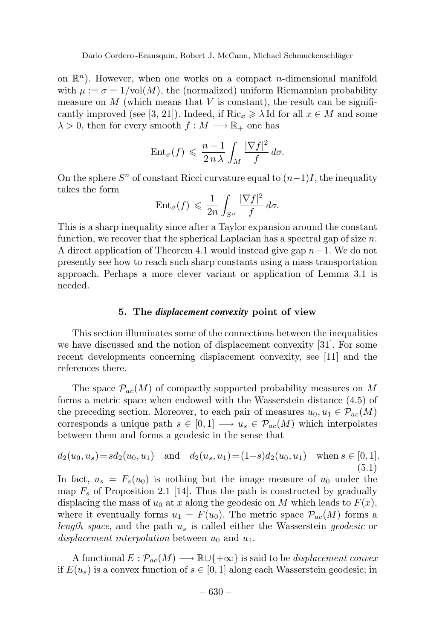on  $\mathbb{R}^n$ ). However, when one works on a compact *n*-dimensional manifold with  $\mu := \sigma = 1/\text{vol}(M)$ , the (normalized) uniform Riemannian probability measure on  $M$  (which means that  $V$  is constant), the result can be significantly improved (see [3, 21]). Indeed, if  $\text{Ric}_r \geq \lambda$  Id for all  $x \in M$  and some  $\lambda > 0$ , then for every smooth  $f : M \longrightarrow \mathbb{R}_+$  one has

$$
\text{Ent}_{\sigma}(f) \leqslant \frac{n-1}{2 n \lambda} \int_M \frac{|\nabla f|^2}{f} d\sigma.
$$

On the sphere  $S^n$  of constant Ricci curvature equal to  $(n-1)I$ , the inequality takes the form

$$
\text{Ent}_{\sigma}(f) \leqslant \frac{1}{2n} \int_{S^n} \frac{|\nabla f|^2}{f} d\sigma.
$$

This is a sharp inequality since after a Taylor expansion around the constant function, we recover that the spherical Laplacian has a spectral gap of size *n*. A direct application of Theorem 4.1 would instead give gap *n*−1. We do not presently see how to reach such sharp constants using a mass transportation approach. Perhaps a more clever variant or application of Lemma 3.1 is needed.

### **5. The** *displacement convexity* **point of view**

This section illuminates some of the connections between the inequalities we have discussed and the notion of displacement convexity [31]. For some recent developments concerning displacement convexity, see [11] and the references there.

The space  $\mathcal{P}_{ac}(M)$  of compactly supported probability measures on M forms a metric space when endowed with the Wasserstein distance (4.5) of the preceding section. Moreover, to each pair of measures  $u_0, u_1 \in \mathcal{P}_{ac}(M)$ corresponds a unique path  $s \in [0, 1] \longrightarrow u_s \in \mathcal{P}_{ac}(M)$  which interpolates between them and forms a geodesic in the sense that

$$
d_2(u_0, u_s) = sd_2(u_0, u_1) \quad \text{and} \quad d_2(u_s, u_1) = (1 - s)d_2(u_0, u_1) \quad \text{when } s \in [0, 1].
$$
\n
$$
(5.1)
$$

In fact,  $u_s = F_s(u_0)$  is nothing but the image measure of  $u_0$  under the map  $F_s$  of Proposition 2.1 [14]. Thus the path is constructed by gradually displacing the mass of  $u_0$  at  $x$  along the geodesic on  $M$  which leads to  $F(x)$ , where it eventually forms  $u_1 = F(u_0)$ . The metric space  $\mathcal{P}_{ac}(M)$  forms a length space, and the path *u<sup>s</sup>* is called either the Wasserstein geodesic or displacement interpolation between *u*<sup>0</sup> and *u*1.

A functional  $E : \mathcal{P}_{ac}(M) \longrightarrow \mathbb{R} \cup \{+\infty\}$  is said to be *displacement convex* if  $E(u_s)$  is a convex function of  $s \in [0,1]$  along each Wasserstein geodesic; in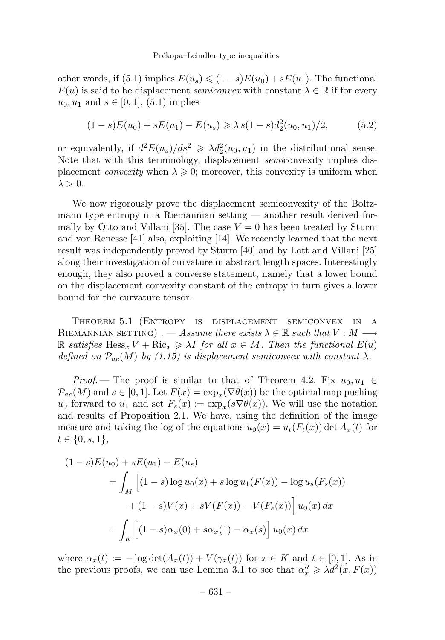other words, if  $(5.1)$  implies  $E(u_s) \leq (1-s)E(u_0) + sE(u_1)$ . The functional  $E(u)$  is said to be displacement *semiconvex* with constant  $\lambda \in \mathbb{R}$  if for every  $u_0, u_1$  and  $s \in [0, 1]$ , (5.1) implies

$$
(1 - s)E(u_0) + sE(u_1) - E(u_s) \ge \lambda s(1 - s)d_2^2(u_0, u_1)/2,
$$
 (5.2)

or equivalently, if  $d^2E(u_s)/ds^2 \geq \lambda d_2^2(u_0, u_1)$  in the distributional sense. Note that with this terminology, displacement *semic*onvexity implies displacement *convexity* when  $\lambda \geq 0$ ; moreover, this convexity is uniform when  $\lambda > 0$ .

We now rigorously prove the displacement semiconvexity of the Boltzmann type entropy in a Riemannian setting — another result derived formally by Otto and Villani [35]. The case  $V = 0$  has been treated by Sturm and von Renesse [41] also, exploiting [14]. We recently learned that the next result was independently proved by Sturm [40] and by Lott and Villani [25] along their investigation of curvature in abstract length spaces. Interestingly enough, they also proved a converse statement, namely that a lower bound on the displacement convexity constant of the entropy in turn gives a lower bound for the curvature tensor.

Theorem 5.1(Entropy is displacement semiconvex in a RIEMANNIAN SETTING) . — Assume there exists  $\lambda \in \mathbb{R}$  such that  $V : M \longrightarrow$  $\mathbb{R}$  satisfies  $\text{Hess}_x V + \text{Ric}_x \geq \lambda I$  for all  $x \in M$ . Then the functional  $E(u)$ defined on  $\mathcal{P}_{ac}(M)$  by (1.15) is displacement semiconvex with constant  $\lambda$ .

*Proof.* — The proof is similar to that of Theorem 4.2. Fix  $u_0, u_1 \in$  $\mathcal{P}_{ac}(M)$  and  $s \in [0,1]$ . Let  $F(x) = \exp_x(\nabla \theta(x))$  be the optimal map pushing *u*<sub>0</sub> forward to *u*<sub>1</sub> and set  $F_s(x) := \exp_x(s\nabla\theta(x))$ . We will use the notation and results of Proposition 2.1. We have, using the definition of the image measure and taking the log of the equations  $u_0(x) = u_t(F_t(x)) \det A_x(t)$  for  $t \in \{0, s, 1\},\$ 

$$
(1 - s)E(u_0) + sE(u_1) - E(u_s)
$$
  
= 
$$
\int_M \left[ (1 - s) \log u_0(x) + s \log u_1(F(x)) - \log u_s(F_s(x)) \right. \\ + (1 - s)V(x) + sV(F(x)) - V(F_s(x)) \left[ u_0(x) dx \right. \\ = \int_K \left[ (1 - s)\alpha_x(0) + s\alpha_x(1) - \alpha_x(s) \right] u_0(x) dx
$$

where  $\alpha_x(t) := -\log \det(A_x(t)) + V(\gamma_x(t))$  for  $x \in K$  and  $t \in [0,1]$ . As in the previous proofs, we can use Lemma 3.1 to see that  $\alpha''_x \geq \lambda d^2(x, F(x))$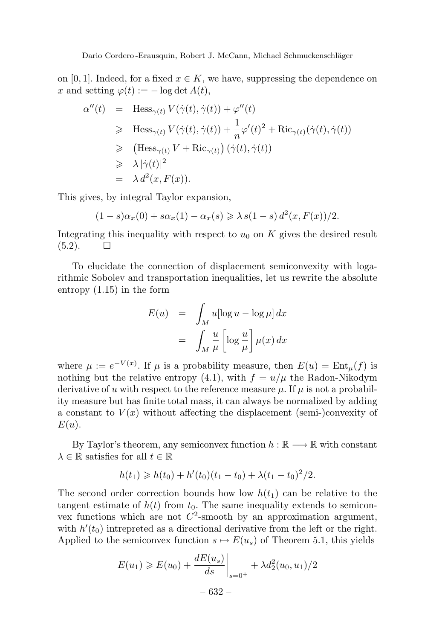on [0, 1]. Indeed, for a fixed  $x \in K$ , we have, suppressing the dependence on  $x \text{ and setting } \varphi(t) := -\log \det A(t),$ 

$$
\alpha''(t) = \text{Hess}_{\gamma(t)} V(\dot{\gamma}(t), \dot{\gamma}(t)) + \varphi''(t)
$$
  
\n
$$
\geq \text{Hess}_{\gamma(t)} V(\dot{\gamma}(t), \dot{\gamma}(t)) + \frac{1}{n} \varphi'(t)^2 + \text{Ric}_{\gamma(t)}(\dot{\gamma}(t), \dot{\gamma}(t))
$$
  
\n
$$
\geq (\text{Hess}_{\gamma(t)} V + \text{Ric}_{\gamma(t)}) (\dot{\gamma}(t), \dot{\gamma}(t))
$$
  
\n
$$
\geq \lambda |\dot{\gamma}(t)|^2
$$
  
\n
$$
= \lambda d^2(x, F(x)).
$$

This gives, by integral Taylor expansion,

$$
(1 - s)\alpha_x(0) + s\alpha_x(1) - \alpha_x(s) \ge \lambda s(1 - s) d^2(x, F(x))/2.
$$

Integrating this inequality with respect to  $u_0$  on  $K$  gives the desired result  $(5.2)$ .  $\Box$ 

To elucidate the connection of displacement semiconvexity with logarithmic Sobolev and transportation inequalities, let us rewrite the absolute entropy (1.15) in the form

$$
E(u) = \int_M u[\log u - \log \mu] dx
$$
  
= 
$$
\int_M \frac{u}{\mu} \left[ \log \frac{u}{\mu} \right] \mu(x) dx
$$

where  $\mu := e^{-V(x)}$ . If  $\mu$  is a probability measure, then  $E(u) = \text{Ent}_{\mu}(f)$  is nothing but the relative entropy (4.1), with  $f = u/\mu$  the Radon-Nikodym derivative of *u* with respect to the reference measure  $\mu$ . If  $\mu$  is not a probability measure but has finite total mass, it can always be normalized by adding a constant to  $V(x)$  without affecting the displacement (semi-)convexity of *E*(*u*).

By Taylor's theorem, any semiconvex function  $h : \mathbb{R} \longrightarrow \mathbb{R}$  with constant  $\lambda \in \mathbb{R}$  satisfies for all  $t \in \mathbb{R}$ 

$$
h(t_1) \geq h(t_0) + h'(t_0)(t_1 - t_0) + \lambda(t_1 - t_0)^2/2.
$$

The second order correction bounds how low  $h(t_1)$  can be relative to the tangent estimate of  $h(t)$  from  $t_0$ . The same inequality extends to semiconvex functions which are not  $C^2$ -smooth by an approximation argument, with  $h'(t_0)$  intrepreted as a directional derivative from the left or the right. Applied to the semiconvex function  $s \mapsto E(u_s)$  of Theorem 5.1, this yields

$$
E(u_1) \ge E(u_0) + \frac{dE(u_s)}{ds}\Big|_{s=0^+} + \lambda d_2^2(u_0, u_1)/2
$$
  
- 632 -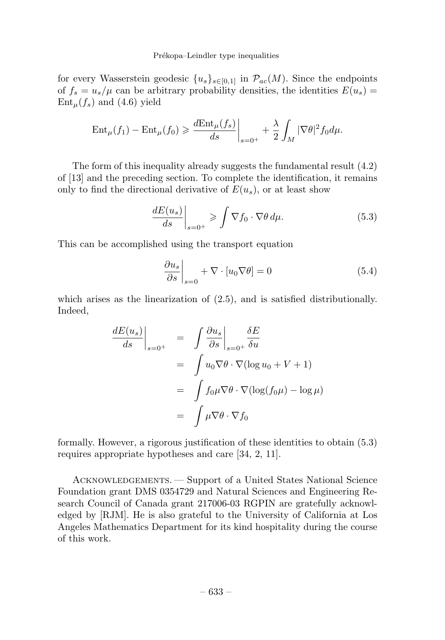#### Prékopa–Leindler type inequalities

for every Wasserstein geodesic  $\{u_s\}_{s\in[0,1]}$  in  $\mathcal{P}_{ac}(M)$ . Since the endpoints of  $f_s = u_s/\mu$  can be arbitrary probability densities, the identities  $E(u_s)$  $Ent<sub>µ</sub>(f<sub>s</sub>)$  and (4.6) yield

$$
\operatorname{Ent}_{\mu}(f_1) - \operatorname{Ent}_{\mu}(f_0) \ge \frac{d\operatorname{Ent}_{\mu}(f_s)}{ds}\bigg|_{s=0^+} + \frac{\lambda}{2} \int_M |\nabla \theta|^2 f_0 d\mu.
$$

The form of this inequality already suggests the fundamental result (4.2) of [13] and the preceding section. To complete the identification, it remains only to find the directional derivative of  $E(u_s)$ , or at least show

$$
\left. \frac{dE(u_s)}{ds} \right|_{s=0^+} \geqslant \int \nabla f_0 \cdot \nabla \theta \, d\mu. \tag{5.3}
$$

This can be accomplished using the transport equation

$$
\left. \frac{\partial u_s}{\partial s} \right|_{s=0} + \nabla \cdot [u_0 \nabla \theta] = 0 \tag{5.4}
$$

which arises as the linearization of (2.5), and is satisfied distributionally. Indeed,

$$
\frac{dE(u_s)}{ds}\Big|_{s=0^+} = \int \frac{\partial u_s}{\partial s}\Big|_{s=0^+} \frac{\delta E}{\delta u}
$$

$$
= \int u_0 \nabla \theta \cdot \nabla (\log u_0 + V + 1)
$$

$$
= \int f_0 \mu \nabla \theta \cdot \nabla (\log(f_0 \mu) - \log \mu)
$$

$$
= \int \mu \nabla \theta \cdot \nabla f_0
$$

formally. However, a rigorous justification of these identities to obtain (5.3) requires appropriate hypotheses and care [34, 2, 11].

ACKNOWLEDGEMENTS. — Support of a United States National Science Foundation grant DMS 0354729 and Natural Sciences and Engineering Research Council of Canada grant 217006-03 RGPIN are gratefully acknowledged by [RJM]. He is also grateful to the University of California at Los Angeles Mathematics Department for its kind hospitality during the course of this work.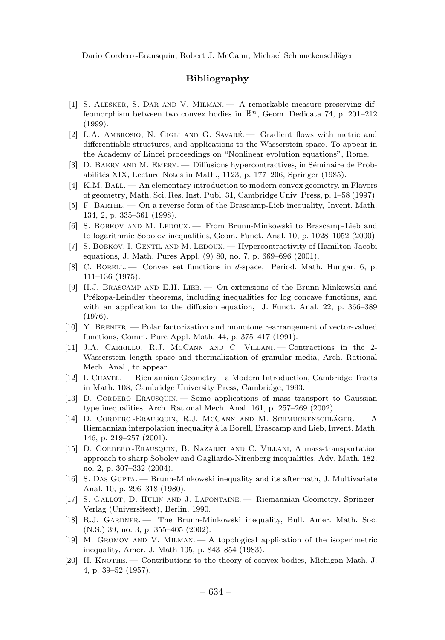# **Bibliography**

- [1] S. Alesker, S. Dar and V. Milman. A remarkable measure preserving diffeomorphism between two convex bodies in R*<sup>n</sup>*, Geom. Dedicata 74, p. 201–212 (1999).
- [2] L.A. AMBROSIO, N. GIGLI AND G. SAVARÉ. Gradient flows with metric and differentiable structures, and applications to the Wasserstein space. To appear in the Academy of Lincei proceedings on "Nonlinear evolution equations", Rome.
- [3] D. BAKRY AND M. EMERY. Diffusions hypercontractives, in Séminaire de Probabilit´es XIX, Lecture Notes in Math., 1123, p. 177–206, Springer (1985).
- [4] K.M. Ball. An elementary introduction to modern convex geometry, in Flavors of geometry, Math. Sci. Res. Inst. Publ. 31, Cambridge Univ. Press, p. 1–58 (1997).
- [5] F. Barthe. On a reverse form of the Brascamp-Lieb inequality, Invent. Math. 134, 2, p. 335–361 (1998).
- [6] S. BOBKOV AND M. LEDOUX. From Brunn-Minkowski to Brascamp-Lieb and to logarithmic Sobolev inequalities, Geom. Funct. Anal. 10, p. 1028–1052 (2000).
- [7] S. BOBKOV, I. GENTIL AND M. LEDOUX. Hypercontractivity of Hamilton-Jacobi equations, J. Math. Pures Appl. (9) 80, no. 7, p. 669–696 (2001).
- [8] C. Borell. Convex set functions in d-space, Period. Math. Hungar. 6, p. 111–136 (1975).
- [9] H.J. Brascamp and E.H. Lieb. On extensions of the Brunn-Minkowski and Prékopa-Leindler theorems, including inequalities for log concave functions, and with an application to the diffusion equation, J. Funct. Anal. 22, p. 366–389 (1976).
- [10] Y. Brenier. Polar factorization and monotone rearrangement of vector-valued functions, Comm. Pure Appl. Math. 44, p. 375–417 (1991).
- [11] J.A. Carrillo, R.J. McCann and C. Villani. Contractions in the 2- Wasserstein length space and thermalization of granular media, Arch. Rational Mech. Anal., to appear.
- [12] I. Chavel. Riemannian Geometry—a Modern Introduction, Cambridge Tracts in Math. 108, Cambridge University Press, Cambridge, 1993.
- [13] D. Cordero -Erausquin. Some applications of mass transport to Gaussian type inequalities, Arch. Rational Mech. Anal. 161, p. 257–269 (2002).
- [14] D. CORDERO-ERAUSQUIN, R.J. MCCANN AND M. SCHMUCKENSCHLÄGER. A Riemannian interpolation inequality à la Borell, Brascamp and Lieb, Invent. Math. 146, p. 219–257 (2001).
- [15] D. Cordero -Erausquin, B. Nazaret and C. Villani, A mass-transportation approach to sharp Sobolev and Gagliardo-Nirenberg inequalities, Adv. Math. 182, no. 2, p. 307–332 (2004).
- [16] S. DAS GUPTA. Brunn-Minkowski inequality and its aftermath, J. Multivariate Anal. 10, p. 296–318 (1980).
- [17] S. GALLOT, D. HULIN AND J. LAFONTAINE. Riemannian Geometry, Springer-Verlag (Universitext), Berlin, 1990.
- [18] R.J. GARDNER. The Brunn-Minkowski inequality, Bull. Amer. Math. Soc. (N.S.) 39, no. 3, p. 355–405 (2002).
- [19] M. Gromov and V. Milman. A topological application of the isoperimetric inequality, Amer. J. Math 105, p. 843–854 (1983).
- [20] H. KNOTHE. Contributions to the theory of convex bodies, Michigan Math. J. 4, p. 39–52 (1957).